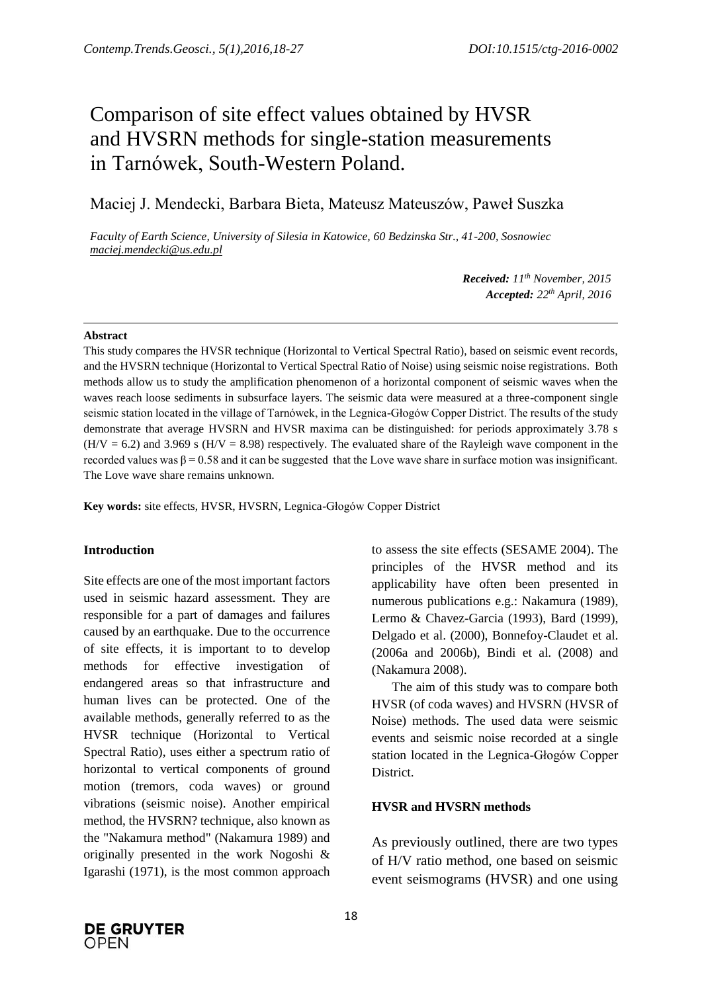# Comparison of site effect values obtained by HVSR and HVSRN methods for single-station measurements in Tarnówek, South-Western Poland.

Maciej J. Mendecki, Barbara Bieta, Mateusz Mateuszów, Paweł Suszka

*Faculty of Earth Science, University of Silesia in Katowice, 60 Bedzinska Str., 41-200, Sosnowiec maciej.mendecki@us.edu.pl*

> *Received: 11 th November, 2015 Accepted: 22 th April, 2016*

#### **Abstract**

This study compares the HVSR technique (Horizontal to Vertical Spectral Ratio), based on seismic event records, and the HVSRN technique (Horizontal to Vertical Spectral Ratio of Noise) using seismic noise registrations. Both methods allow us to study the amplification phenomenon of a horizontal component of seismic waves when the waves reach loose sediments in subsurface layers. The seismic data were measured at a three-component single seismic station located in the village of Tarnówek, in the Legnica-Głogów Copper District. The results of the study demonstrate that average HVSRN and HVSR maxima can be distinguished: for periods approximately 3.78 s  $(H/V = 6.2)$  and 3.969 s  $(H/V = 8.98)$  respectively. The evaluated share of the Rayleigh wave component in the recorded values was  $β = 0.58$  and it can be suggested that the Love wave share in surface motion was insignificant. The Love wave share remains unknown.

**Key words:** site effects, HVSR, HVSRN, Legnica-Głogów Copper District

### **Introduction**

Site effects are one of the most important factors used in seismic hazard assessment. They are responsible for a part of damages and failures caused by an earthquake. Due to the occurrence of site effects, it is important to to develop methods for effective investigation of endangered areas so that infrastructure and human lives can be protected. One of the available methods, generally referred to as the HVSR technique (Horizontal to Vertical Spectral Ratio), uses either a spectrum ratio of horizontal to vertical components of ground motion (tremors, coda waves) or ground vibrations (seismic noise). Another empirical method, the HVSRN? technique, also known as the "Nakamura method" (Nakamura 1989) and originally presented in the work Nogoshi & Igarashi (1971), is the most common approach to assess the site effects (SESAME 2004). The principles of the HVSR method and its applicability have often been presented in numerous publications e.g.: Nakamura (1989), Lermo & Chavez-Garcia (1993), Bard (1999), Delgado et al. (2000), Bonnefoy-Claudet et al. (2006a and 2006b), Bindi et al. (2008) and (Nakamura 2008).

The aim of this study was to compare both HVSR (of coda waves) and HVSRN (HVSR of Noise) methods. The used data were seismic events and seismic noise recorded at a single station located in the Legnica-Głogów Copper District.

# **HVSR and HVSRN methods**

As previously outlined, there are two types of H/V ratio method, one based on seismic event seismograms (HVSR) and one using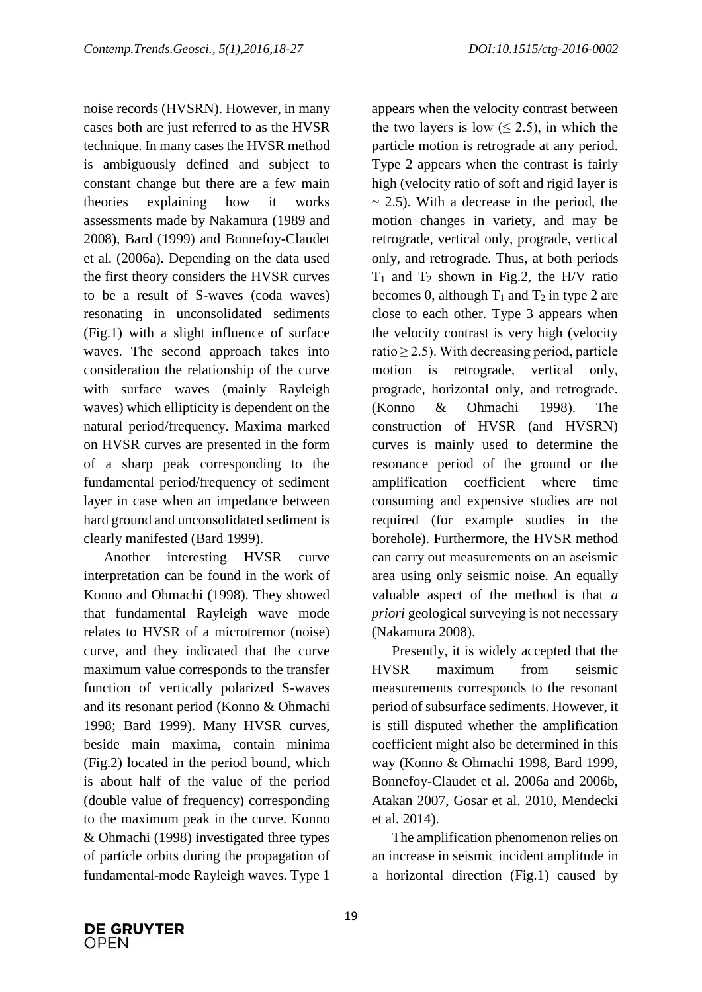noise records (HVSRN). However, in many cases both are just referred to as the HVSR technique. In many cases the HVSR method is ambiguously defined and subject to constant change but there are a few main theories explaining how it works assessments made by Nakamura (1989 and 2008), Bard (1999) and Bonnefoy-Claudet et al. (2006a). Depending on the data used the first theory considers the HVSR curves to be a result of S-waves (coda waves) resonating in unconsolidated sediments (Fig.1) with a slight influence of surface waves. The second approach takes into consideration the relationship of the curve with surface waves (mainly Rayleigh waves) which ellipticity is dependent on the natural period/frequency. Maxima marked on HVSR curves are presented in the form of a sharp peak corresponding to the fundamental period/frequency of sediment layer in case when an impedance between hard ground and unconsolidated sediment is clearly manifested (Bard 1999).

Another interesting HVSR curve interpretation can be found in the work of Konno and Ohmachi (1998). They showed that fundamental Rayleigh wave mode relates to HVSR of a microtremor (noise) curve, and they indicated that the curve maximum value corresponds to the transfer function of vertically polarized S-waves and its resonant period (Konno & Ohmachi 1998; Bard 1999). Many HVSR curves, beside main maxima, contain minima (Fig.2) located in the period bound, which is about half of the value of the period (double value of frequency) corresponding to the maximum peak in the curve. Konno & Ohmachi (1998) investigated three types of particle orbits during the propagation of fundamental-mode Rayleigh waves. Type 1

appears when the velocity contrast between the two layers is low  $(< 2.5)$ , in which the particle motion is retrograde at any period. Type 2 appears when the contrast is fairly high (velocity ratio of soft and rigid layer is  $\sim$  2.5). With a decrease in the period, the motion changes in variety, and may be retrograde, vertical only, prograde, vertical only, and retrograde. Thus, at both periods  $T_1$  and  $T_2$  shown in Fig.2, the H/V ratio becomes 0, although  $T_1$  and  $T_2$  in type 2 are close to each other. Type 3 appears when the velocity contrast is very high (velocity ratio  $\geq$  2.5). With decreasing period, particle motion is retrograde, vertical only, prograde, horizontal only, and retrograde. (Konno & Ohmachi 1998). The construction of HVSR (and HVSRN) curves is mainly used to determine the resonance period of the ground or the amplification coefficient where time consuming and expensive studies are not required (for example studies in the borehole). Furthermore, the HVSR method can carry out measurements on an aseismic area using only seismic noise. An equally valuable aspect of the method is that *a priori* geological surveying is not necessary (Nakamura 2008).

Presently, it is widely accepted that the HVSR maximum from seismic measurements corresponds to the resonant period of subsurface sediments. However, it is still disputed whether the amplification coefficient might also be determined in this way (Konno & Ohmachi 1998, Bard 1999, Bonnefoy-Claudet et al. 2006a and 2006b, Atakan 2007, Gosar et al. 2010, Mendecki et al. 2014).

The amplification phenomenon relies on an increase in seismic incident amplitude in a horizontal direction (Fig.1) caused by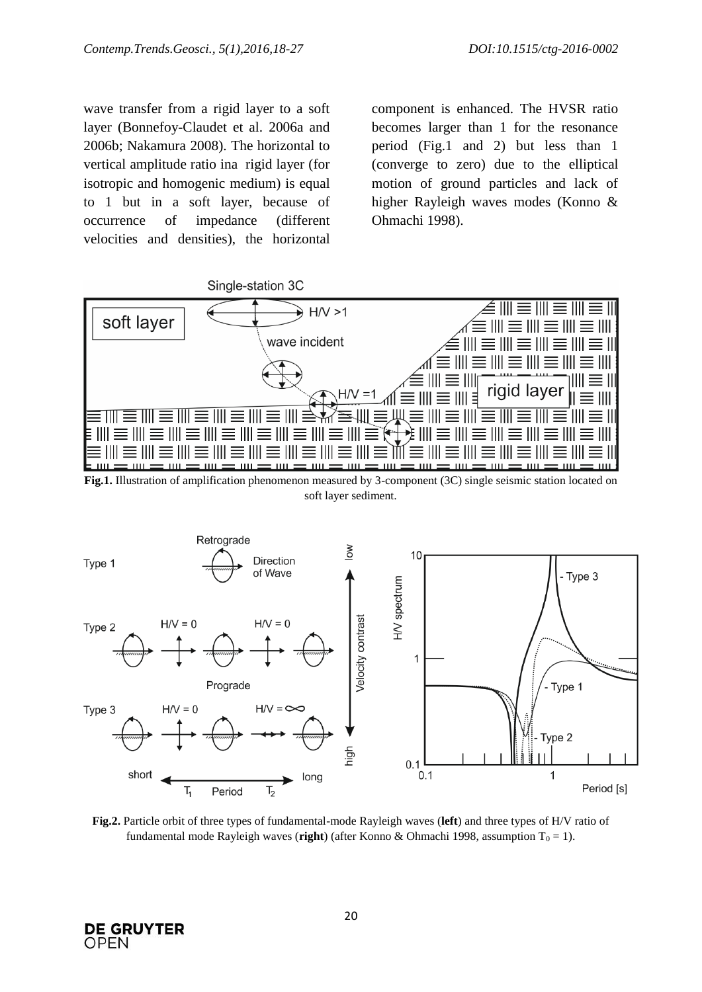wave transfer from a rigid layer to a soft layer (Bonnefoy-Claudet et al. 2006a and 2006b; Nakamura 2008). The horizontal to vertical amplitude ratio ina rigid layer (for isotropic and homogenic medium) is equal to 1 but in a soft layer, because of occurrence of impedance (different velocities and densities), the horizontal component is enhanced. The HVSR ratio becomes larger than 1 for the resonance period (Fig.1 and 2) but less than 1 (converge to zero) due to the elliptical motion of ground particles and lack of higher Rayleigh waves modes (Konno & Ohmachi 1998).



**Fig.1.** Illustration of amplification phenomenon measured by 3-component (3C) single seismic station located on soft layer sediment.



**Fig.2.** Particle orbit of three types of fundamental-mode Rayleigh waves (**left**) and three types of H/V ratio of fundamental mode Rayleigh waves (**right**) (after Konno & Ohmachi 1998, assumption  $T_0 = 1$ ).

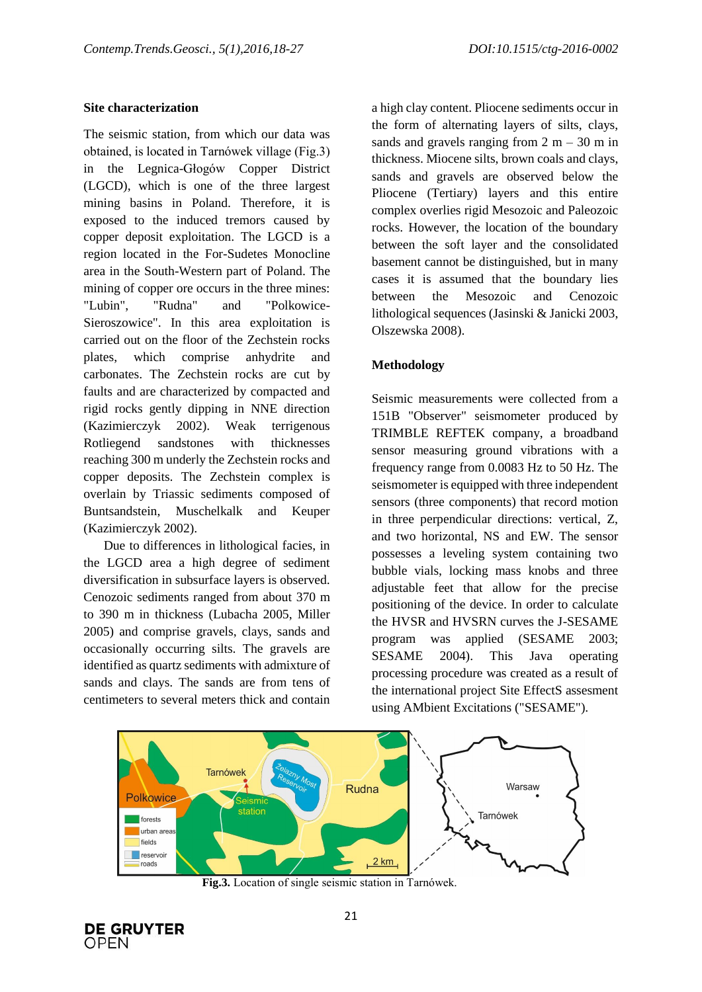# **Site characterization**

The seismic station, from which our data was obtained, is located in Tarnówek village (Fig.3) in the Legnica-Głogów Copper District (LGCD), which is one of the three largest mining basins in Poland. Therefore, it is exposed to the induced tremors caused by copper deposit exploitation. The LGCD is a region located in the For-Sudetes Monocline area in the South-Western part of Poland. The mining of copper ore occurs in the three mines: "Lubin", "Rudna" and "Polkowice-Sieroszowice". In this area exploitation is carried out on the floor of the Zechstein rocks plates, which comprise anhydrite and carbonates. The Zechstein rocks are cut by faults and are characterized by compacted and rigid rocks gently dipping in NNE direction (Kazimierczyk 2002). Weak terrigenous Rotliegend sandstones with thicknesses reaching 300 m underly the Zechstein rocks and copper deposits. The Zechstein complex is overlain by Triassic sediments composed of Buntsandstein, Muschelkalk and Keuper (Kazimierczyk 2002).

Due to differences in lithological facies, in the LGCD area a high degree of sediment diversification in subsurface layers is observed. Cenozoic sediments ranged from about 370 m to 390 m in thickness (Lubacha 2005, Miller 2005) and comprise gravels, clays, sands and occasionally occurring silts. The gravels are identified as quartz sediments with admixture of sands and clays. The sands are from tens of centimeters to several meters thick and contain

a high clay content. Pliocene sediments occur in the form of alternating layers of silts, clays, sands and gravels ranging from  $2 m - 30 m$  in thickness. Miocene silts, brown coals and clays, sands and gravels are observed below the Pliocene (Tertiary) layers and this entire complex overlies rigid Mesozoic and Paleozoic rocks. However, the location of the boundary between the soft layer and the consolidated basement cannot be distinguished, but in many cases it is assumed that the boundary lies between the Mesozoic and Cenozoic lithological sequences (Jasinski & Janicki 2003, Olszewska 2008).

# **Methodology**

Seismic measurements were collected from a 151B "Observer" seismometer produced by TRIMBLE REFTEK company, a broadband sensor measuring ground vibrations with a frequency range from 0.0083 Hz to 50 Hz. The seismometer is equipped with three independent sensors (three components) that record motion in three perpendicular directions: vertical, Z, and two horizontal, NS and EW. The sensor possesses a leveling system containing two bubble vials, locking mass knobs and three adjustable feet that allow for the precise positioning of the device. In order to calculate the HVSR and HVSRN curves the J-SESAME program was applied (SESAME 2003; SESAME 2004). This Java operating processing procedure was created as a result of the international project Site EffectS assesment using AMbient Excitations ("SESAME").



**Fig.3.** Location of single seismic station in Tarnówek.

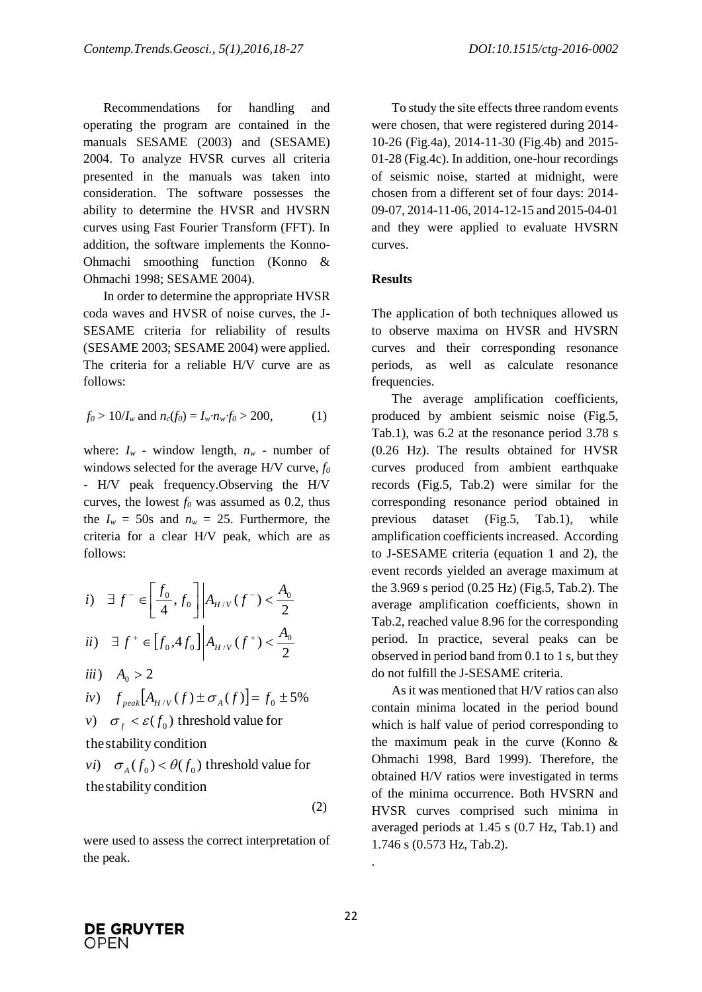Recommendations for handling and operating the program are contained in the manuals SESAME (2003) and (SESAME) 2004. To analyze HVSR curves all criteria presented in the manuals was taken into consideration. The software possesses the ability to determine the HVSR and HVSRN curves using Fast Fourier Transform (FFT). In addition, the software implements the Konno-Ohmachi smoothing function (Konno & Ohmachi 1998; SESAME 2004).

In order to determine the appropriate HVSR coda waves and HVSR of noise curves, the J-SESAME criteria for reliability of results (SESAME 2003; SESAME 2004) were applied. The criteria for a reliable H/V curve are as follows:

$$
f_0 > 10/I_w
$$
 and  $n_c(f_0) = I_w \cdot n_w \cdot f_0 > 200,$  (1)

where:  $I_w$  - window length,  $n_w$  - number of windows selected for the average H/V curve, *f<sup>0</sup>* - H/V peak frequency.Observing the H/V curves, the lowest  $f_0$  was assumed as 0.2, thus the  $I_w = 50s$  and  $n_w = 25$ . Furthermore, the criteria for a clear H/V peak, which are as follows:

*i*) 
$$
\exists f^{-} \in \left[\frac{f_0}{4}, f_0\right] | A_{H/V}(f^{-}) < \frac{A_0}{2}
$$
  
\n*ii*)  $\exists f^{+} \in [f_0, 4f_0] | A_{H/V}(f^{+}) < \frac{A_0}{2}$ 

$$
iii) \quad A_0 > 2
$$

$$
iv) \quad f_{\text{peak}}[A_{H/V}(f) \pm \sigma_A(f)] = f_0 \pm 5\%
$$

v) 
$$
\sigma_f < \varepsilon(f_0)
$$
 threshold value for

the stability condition

the stability condition the stability condition<br>  $v_i$  *f*<sub> $\sigma_A(f_0) < \theta(f_0)$  threshold value for</sub>

$$
(\mathbf{2})
$$

were used to assess the correct interpretation of the peak.

To study the site effects three random events were chosen, that were registered during 2014- 10-26 (Fig.4a), 2014-11-30 (Fig.4b) and 2015- 01-28 (Fig.4c). In addition, one-hour recordings of seismic noise, started at midnight, were chosen from a different set of four days: 2014- 09-07, 2014-11-06, 2014-12-15 and 2015-04-01 and they were applied to evaluate HVSRN curves.

## **Results**

The application of both techniques allowed us to observe maxima on HVSR and HVSRN curves and their corresponding resonance periods, as well as calculate resonance frequencies.

The average amplification coefficients, produced by ambient seismic noise (Fig.5, Tab.1), was 6.2 at the resonance period 3.78 s (0.26 Hz). The results obtained for HVSR curves produced from ambient earthquake records (Fig.5, Tab.2) were similar for the corresponding resonance period obtained in previous dataset (Fig.5, Tab.1), while amplification coefficients increased. According to J-SESAME criteria (equation 1 and 2), the event records yielded an average maximum at the 3.969 s period (0.25 Hz) (Fig.5, Tab.2). The average amplification coefficients, shown in Tab.2, reached value 8.96 for the corresponding period. In practice, several peaks can be observed in period band from 0.1 to 1 s, but they do not fulfill the J-SESAME criteria.

As it was mentioned that H/V ratios can also contain minima located in the period bound which is half value of period corresponding to the maximum peak in the curve (Konno & Ohmachi 1998, Bard 1999). Therefore, the obtained H/V ratios were investigated in terms of the minima occurrence. Both HVSRN and HVSR curves comprised such minima in averaged periods at 1.45 s (0.7 Hz, Tab.1) and 1.746 s (0.573 Hz, Tab.2).

.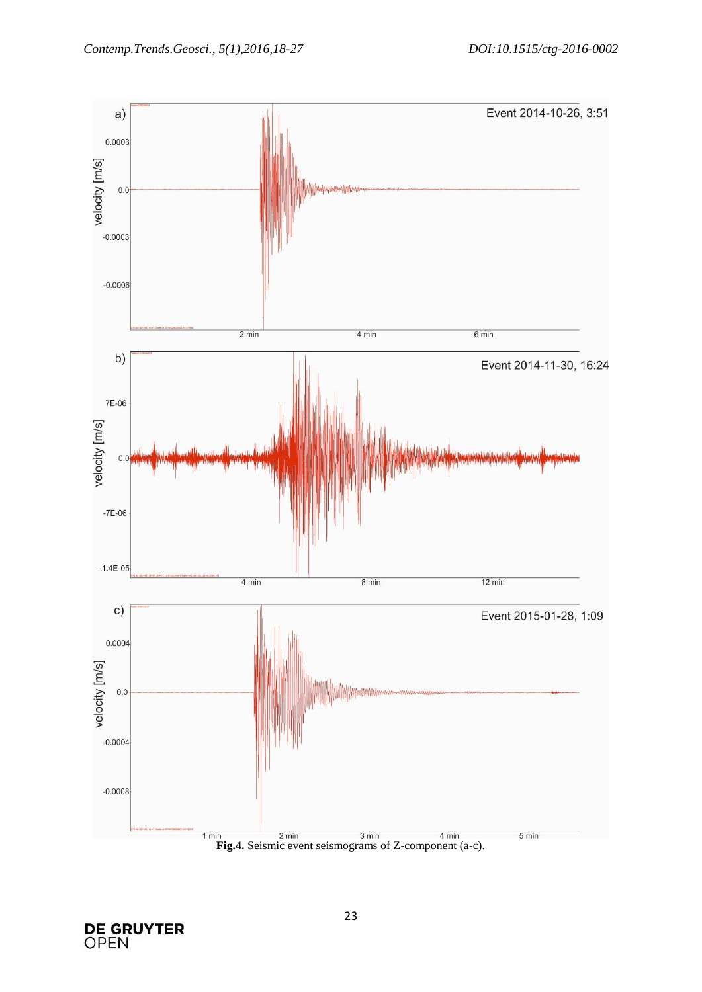

**DE GRUYTER**<br>OPEN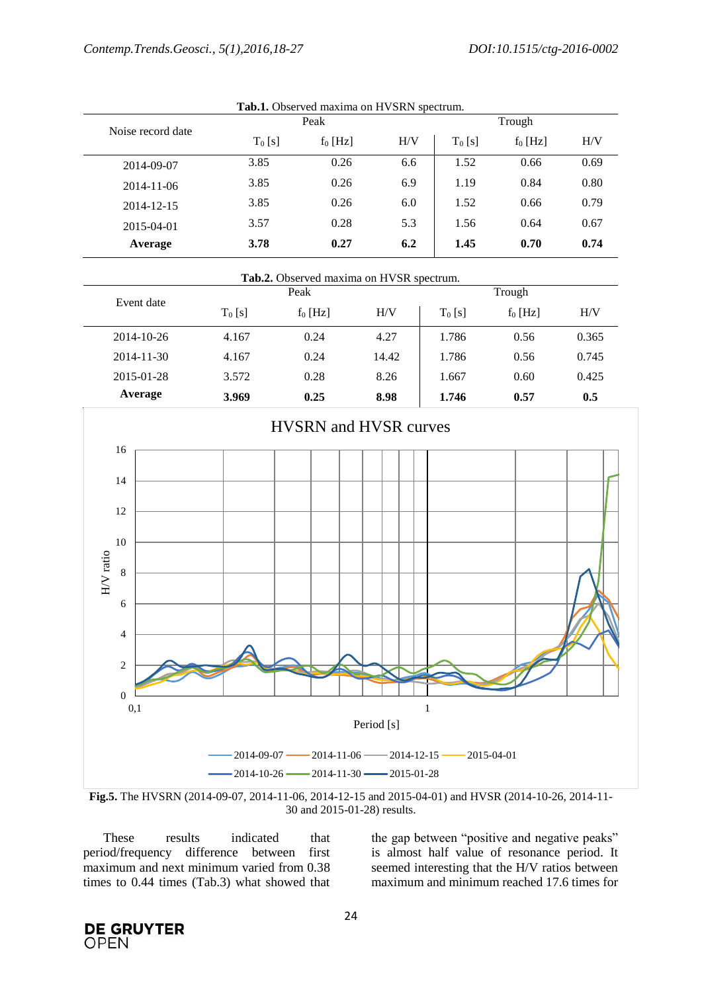| Noise record date | Peak      |            |     | Trough    |            |      |
|-------------------|-----------|------------|-----|-----------|------------|------|
|                   | $T_0$ [s] | $f_0$ [Hz] | H/V | $T_0$ [s] | $f_0$ [Hz] | H/V  |
| 2014-09-07        | 3.85      | 0.26       | 6.6 | 1.52      | 0.66       | 0.69 |
| 2014-11-06        | 3.85      | 0.26       | 6.9 | 1.19      | 0.84       | 0.80 |
| 2014-12-15        | 3.85      | 0.26       | 6.0 | 1.52      | 0.66       | 0.79 |
| 2015-04-01        | 3.57      | 0.28       | 5.3 | 1.56      | 0.64       | 0.67 |
| Average           | 3.78      | 0.27       | 6.2 | 1.45      | 0.70       | 0.74 |

**Tab.1.** Observed maxima on HVSRN spectrum.

| Tab.2. Observed maxima on HVSR spectrum. |           |            |       |           |            |       |  |
|------------------------------------------|-----------|------------|-------|-----------|------------|-------|--|
|                                          |           | Peak       |       |           | Trough     |       |  |
| Event date                               | $T_0$ [s] | $f_0$ [Hz] | H/V   | $T_0$ [s] | $f_0$ [Hz] | H/V   |  |
| $2014 - 10 - 26$                         | 4.167     | 0.24       | 4.27  | 1.786     | 0.56       | 0.365 |  |
| $2014 - 11 - 30$                         | 4.167     | 0.24       | 14.42 | 1.786     | 0.56       | 0.745 |  |
| 2015-01-28                               | 3.572     | 0.28       | 8.26  | 1.667     | 0.60       | 0.425 |  |
| Average                                  | 3.969     | 0.25       | 8.98  | 1.746     | 0.57       | 0.5   |  |



**Fig.5.** The HVSRN (2014-09-07, 2014-11-06, 2014-12-15 and 2015-04-01) and HVSR (2014-10-26, 2014-11- 30 and 2015-01-28) results.

These results indicated that period/frequency difference between first maximum and next minimum varied from 0.38 times to 0.44 times (Tab.3) what showed that the gap between "positive and negative peaks" is almost half value of resonance period. It seemed interesting that the H/V ratios between maximum and minimum reached 17.6 times for

**DE GRUYTER OPEN**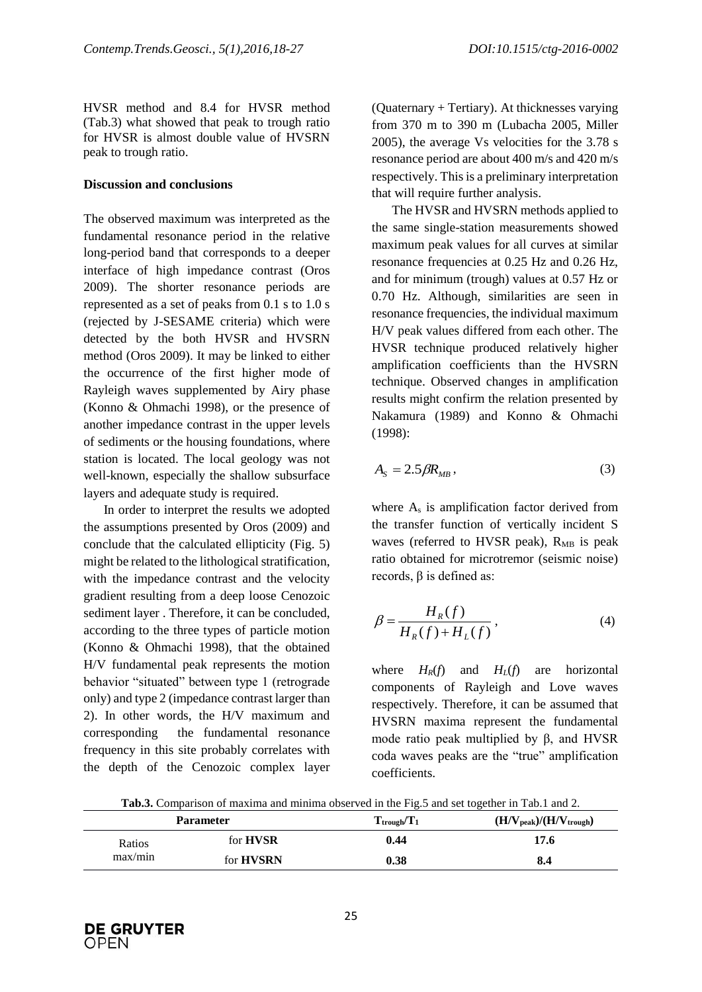HVSR method and 8.4 for HVSR method (Tab.3) what showed that peak to trough ratio for HVSR is almost double value of HVSRN peak to trough ratio.

#### **Discussion and conclusions**

The observed maximum was interpreted as the fundamental resonance period in the relative long-period band that corresponds to a deeper interface of high impedance contrast (Oros 2009). The shorter resonance periods are represented as a set of peaks from 0.1 s to 1.0 s (rejected by J-SESAME criteria) which were detected by the both HVSR and HVSRN method (Oros 2009). It may be linked to either the occurrence of the first higher mode of Rayleigh waves supplemented by Airy phase (Konno & Ohmachi 1998), or the presence of another impedance contrast in the upper levels of sediments or the housing foundations, where station is located. The local geology was not well-known, especially the shallow subsurface layers and adequate study is required.

In order to interpret the results we adopted the assumptions presented by Oros (2009) and conclude that the calculated ellipticity (Fig. 5) might be related to the lithological stratification, with the impedance contrast and the velocity gradient resulting from a deep loose Cenozoic sediment layer . Therefore, it can be concluded, according to the three types of particle motion (Konno & Ohmachi 1998), that the obtained H/V fundamental peak represents the motion behavior "situated" between type 1 (retrograde only) and type 2 (impedance contrast larger than 2). In other words, the H/V maximum and corresponding the fundamental resonance frequency in this site probably correlates with the depth of the Cenozoic complex layer (Quaternary + Tertiary). At thicknesses varying from 370 m to 390 m (Lubacha 2005, Miller 2005), the average Vs velocities for the 3.78 s resonance period are about 400 m/s and 420 m/s respectively. This is a preliminary interpretation that will require further analysis.

The HVSR and HVSRN methods applied to the same single-station measurements showed maximum peak values for all curves at similar resonance frequencies at 0.25 Hz and 0.26 Hz, and for minimum (trough) values at 0.57 Hz or 0.70 Hz. Although, similarities are seen in resonance frequencies, the individual maximum H/V peak values differed from each other. The HVSR technique produced relatively higher amplification coefficients than the HVSRN technique. Observed changes in amplification results might confirm the relation presented by Nakamura (1989) and Konno & Ohmachi (1998):

$$
A_{\rm s} = 2.5 \beta R_{\rm MB} \,, \tag{3}
$$

where  $A_s$  is amplification factor derived from the transfer function of vertically incident S waves (referred to HVSR peak),  $R_{MR}$  is peak ratio obtained for microtremor (seismic noise) records, β is defined as:

$$
\beta = \frac{H_R(f)}{H_R(f) + H_L(f)},\tag{4}
$$

where  $H_R(f)$  and  $H_L(f)$  are horizontal components of Rayleigh and Love waves respectively. Therefore, it can be assumed that HVSRN maxima represent the fundamental mode ratio peak multiplied by β, and HVSR coda waves peaks are the "true" amplification coefficients.

**Tab.3.** Comparison of maxima and minima observed in the Fig.5 and set together in Tab.1 and 2.

|         | <b>Parameter</b> | $T_{\text{trough}}/T_1$ | $(H/V_{peak})/(H/V_{trough})$ |
|---------|------------------|-------------------------|-------------------------------|
| Ratios  | for <b>HVSR</b>  | 0.44                    | 17.6                          |
| max/min | for <b>HVSRN</b> | 0.38                    | 8.4                           |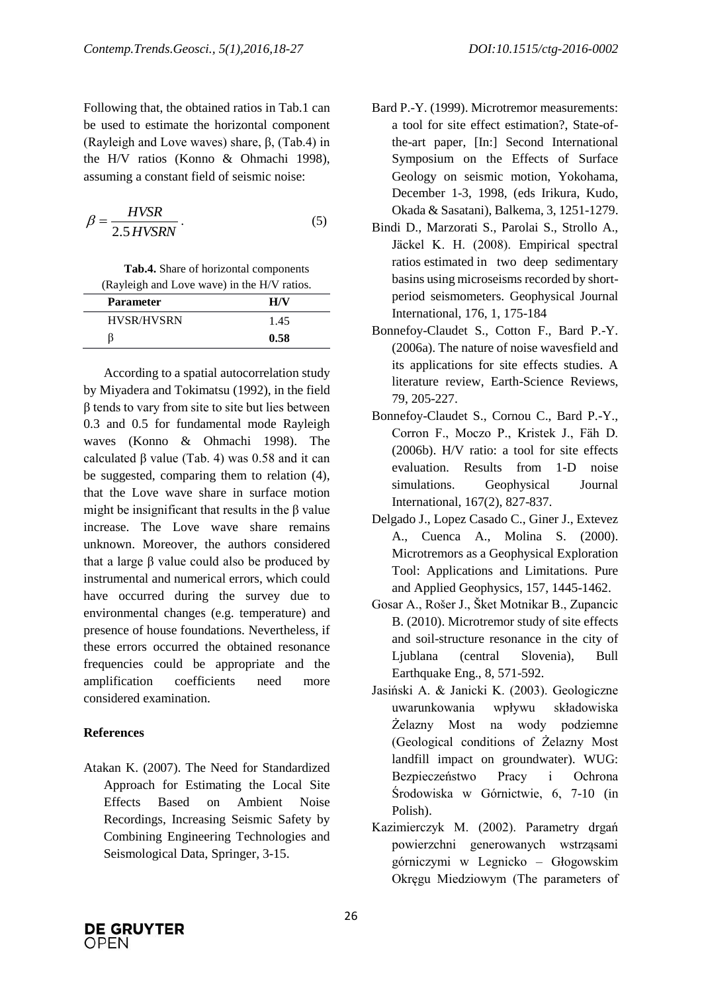Following that, the obtained ratios in Tab.1 can be used to estimate the horizontal component (Rayleigh and Love waves) share, β, (Tab.4) in the H/V ratios (Konno & Ohmachi 1998), assuming a constant field of seismic noise:

$$
\beta = \frac{HVSR}{2.5 \, HVSRN} \,. \tag{5}
$$

**Tab.4.** Share of horizontal components

| (Rayleigh and Love wave) in the H/V ratios. |      |  |
|---------------------------------------------|------|--|
| <b>Parameter</b>                            | H/V  |  |
| <b>HVSR/HVSRN</b>                           | 1.45 |  |
|                                             | 0.58 |  |

According to a spatial autocorrelation study by Miyadera and Tokimatsu (1992), in the field β tends to vary from site to site but lies between 0.3 and 0.5 for fundamental mode Rayleigh waves (Konno & Ohmachi 1998). The calculated β value (Tab. 4) was  $0.58$  and it can be suggested, comparing them to relation (4), that the Love wave share in surface motion might be insignificant that results in the β value increase. The Love wave share remains unknown. Moreover, the authors considered that a large β value could also be produced by instrumental and numerical errors, which could have occurred during the survey due to environmental changes (e.g. temperature) and presence of house foundations. Nevertheless, if these errors occurred the obtained resonance frequencies could be appropriate and the amplification coefficients need more considered examination.

## **References**

Atakan K. (2007). The Need for Standardized Approach for Estimating the Local Site Effects Based on Ambient Noise Recordings, Increasing Seismic Safety by Combining Engineering Technologies and Seismological Data, Springer, 3-15.

- Bard P.-Y. (1999). Microtremor measurements: a tool for site effect estimation?, State-ofthe-art paper, [In:] Second International Symposium on the Effects of Surface Geology on seismic motion, Yokohama, December 1-3, 1998, (eds Irikura, Kudo, Okada & Sasatani), Balkema, 3, 1251-1279.
- Bindi D., Marzorati S., Parolai S., Strollo A., Jäckel K. H. (2008). Empirical spectral ratios estimated in two deep sedimentary basins using microseisms recorded by shortperiod seismometers. Geophysical Journal International, 176, 1, 175-184
- Bonnefoy-Claudet S., Cotton F., Bard P.-Y. (2006a). The nature of noise wavesfield and its applications for site effects studies. A literature review, Earth-Science Reviews, 79, 205-227.
- Bonnefoy-Claudet S., Cornou C., Bard P.-Y., Corron F., Moczo P., Kristek J., Fäh D. (2006b). H/V ratio: a tool for site effects evaluation. Results from 1-D noise simulations. Geophysical Journal International, 167(2), 827-837.
- Delgado J., Lopez Casado C., Giner J., Extevez A., Cuenca A., Molina S. (2000). Microtremors as a Geophysical Exploration Tool: Applications and Limitations. Pure and Applied Geophysics, 157, 1445-1462.
- Gosar A., Rošer J., Šket Motnikar B., Zupancic B. (2010). Microtremor study of site effects and soil-structure resonance in the city of Ljublana (central Slovenia), Bull Earthquake Eng., 8, 571-592.
- Jasiński A. & Janicki K. (2003). Geologiczne uwarunkowania wpływu składowiska Żelazny Most na wody podziemne (Geological conditions of Żelazny Most landfill impact on groundwater). WUG: Bezpieczeństwo Pracy i Ochrona Środowiska w Górnictwie, 6, 7-10 (in Polish).
- Kazimierczyk M. (2002). Parametry drgań powierzchni generowanych wstrząsami górniczymi w Legnicko – Głogowskim Okręgu Miedziowym (The parameters of